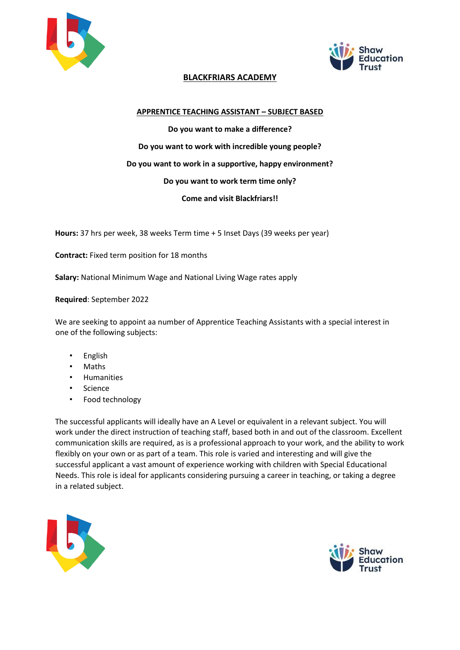



## **BLACKFRIARS ACADEMY**

## **APPRENTICE TEACHING ASSISTANT – SUBJECT BASED**

**Do you want to make a difference? Do you want to work with incredible young people? Do you want to work in a supportive, happy environment? Do you want to work term time only? Come and visit Blackfriars!!** 

**Hours:** 37 hrs per week, 38 weeks Term time + 5 Inset Days (39 weeks per year)

**Contract:** Fixed term position for 18 months

**Salary:** National Minimum Wage and National Living Wage rates apply

**Required**: September 2022

We are seeking to appoint aa number of Apprentice Teaching Assistants with a special interest in one of the following subjects:

- English
- Maths
- Humanities
- Science
- Food technology

The successful applicants will ideally have an A Level or equivalent in a relevant subject. You will work under the direct instruction of teaching staff, based both in and out of the classroom. Excellent communication skills are required, as is a professional approach to your work, and the ability to work flexibly on your own or as part of a team. This role is varied and interesting and will give the successful applicant a vast amount of experience working with children with Special Educational Needs. This role is ideal for applicants considering pursuing a career in teaching, or taking a degree in a related subject.